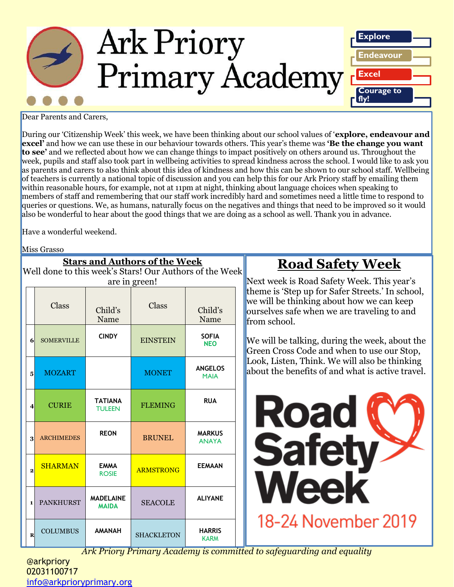

Dear Parents and Carers,

During our 'Citizenship Week' this week, we have been thinking about our school values of '**explore, endeavour and excel'** and how we can use these in our behaviour towards others. This year's theme was **'Be the change you want to see'** and we reflected about how we can change things to impact positively on others around us. Throughout the week, pupils and staff also took part in wellbeing activities to spread kindness across the school. I would like to ask you as parents and carers to also think about this idea of kindness and how this can be shown to our school staff. Wellbeing of teachers is currently a national topic of discussion and you can help this for our Ark Priory staff by emailing them within reasonable hours, for example, not at 11pm at night, thinking about language choices when speaking to members of staff and remembering that our staff work incredibly hard and sometimes need a little time to respond to queries or questions. We, as humans, naturally focus on the negatives and things that need to be improved so it would also be wonderful to hear about the good things that we are doing as a school as well. Thank you in advance.

Have a wonderful weekend.

Miss Grasso

| <b>Stars and Authors of the Week</b>                    |                         |                   |                                  |                   |                               |  |  |  |
|---------------------------------------------------------|-------------------------|-------------------|----------------------------------|-------------------|-------------------------------|--|--|--|
| Well done to this week's Stars! Our Authors of the Week |                         |                   |                                  |                   |                               |  |  |  |
| are in green!                                           |                         |                   |                                  |                   |                               |  |  |  |
|                                                         |                         | Class             | Child's<br>Name                  | Class             | Child's<br>Name               |  |  |  |
|                                                         | 6                       | <b>SOMERVILLE</b> | <b>CINDY</b>                     | <b>EINSTEIN</b>   | <b>SOFIA</b><br><b>NEO</b>    |  |  |  |
|                                                         | 5                       | <b>MOZART</b>     |                                  | <b>MONET</b>      | <b>ANGELOS</b><br><b>MAIA</b> |  |  |  |
|                                                         | $\overline{\mathbf{4}}$ | <b>CURIE</b>      | <b>TATIANA</b><br><b>TULEEN</b>  | <b>FLEMING</b>    | <b>RUA</b>                    |  |  |  |
|                                                         | 3                       | <b>ARCHIMEDES</b> | <b>REON</b>                      | <b>BRUNEL</b>     | <b>MARKUS</b><br><b>ANAYA</b> |  |  |  |
|                                                         | $\overline{2}$          | <b>SHARMAN</b>    | <b>EMMA</b><br><b>ROSIE</b>      | <b>ARMSTRONG</b>  | <b>EEMAAN</b>                 |  |  |  |
|                                                         | 1                       | <b>PANKHURST</b>  | <b>MADELAINE</b><br><b>MAIDA</b> | <b>SEACOLE</b>    | <b>ALIYANE</b>                |  |  |  |
|                                                         | $\overline{\mathbf{R}}$ | <b>COLUMBUS</b>   | <b>HANAMA</b>                    | <b>SHACKLETON</b> | <b>HARRIS</b><br><b>KARM</b>  |  |  |  |

## **Road Safety Week**

Next week is Road Safety Week. This year's theme is 'Step up for Safer Streets.' In school, we will be thinking about how we can keep ourselves safe when we are traveling to and from school.

We will be talking, during the week, about the Green Cross Code and when to use our Stop, Look, Listen, Think. We will also be thinking about the benefits of and what is active travel.



*Ark Priory Primary Academy is committed to safeguarding and equality* 

@arkpriory 02031100717 [info@arkprioryprimary.org](mailto:info@arkprioryprimary.org)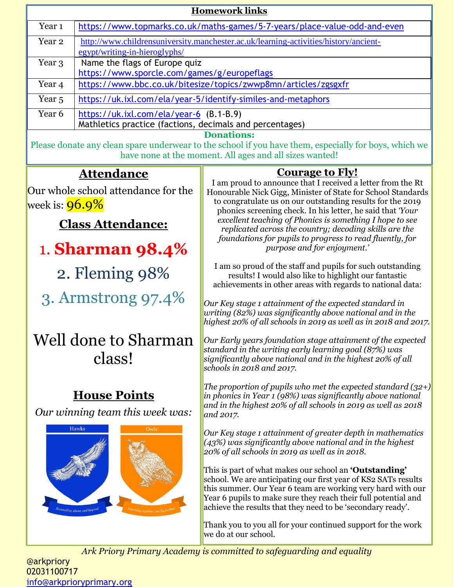| <b>Homework links</b>                                                                                                                                            |                                                                                      |                                                                                                                                                                                                                                                                                                                          |  |  |  |  |
|------------------------------------------------------------------------------------------------------------------------------------------------------------------|--------------------------------------------------------------------------------------|--------------------------------------------------------------------------------------------------------------------------------------------------------------------------------------------------------------------------------------------------------------------------------------------------------------------------|--|--|--|--|
| Year <sub>1</sub>                                                                                                                                                |                                                                                      | https://www.topmarks.co.uk/maths-games/5-7-years/place-value-odd-and-even                                                                                                                                                                                                                                                |  |  |  |  |
| Year <sub>2</sub>                                                                                                                                                | http://www.childrensuniversity.manchester.ac.uk/learning-activities/history/ancient- |                                                                                                                                                                                                                                                                                                                          |  |  |  |  |
| Year 3                                                                                                                                                           | egypt/writing-in-hieroglyphs/<br>Name the flags of Europe quiz                       |                                                                                                                                                                                                                                                                                                                          |  |  |  |  |
|                                                                                                                                                                  | https://www.sporcle.com/games/g/europeflags                                          |                                                                                                                                                                                                                                                                                                                          |  |  |  |  |
| Year <sub>4</sub>                                                                                                                                                |                                                                                      | https://www.bbc.co.uk/bitesize/topics/zwwp8mn/articles/zgsgxfr                                                                                                                                                                                                                                                           |  |  |  |  |
| Year <sub>5</sub>                                                                                                                                                |                                                                                      | https://uk.ixl.com/ela/year-5/identify-similes-and-metaphors                                                                                                                                                                                                                                                             |  |  |  |  |
| Year <sub>6</sub>                                                                                                                                                | https://uk.ixl.com/ela/year-6 (B.1-B.9)                                              |                                                                                                                                                                                                                                                                                                                          |  |  |  |  |
|                                                                                                                                                                  | Mathletics practice (factions, decimals and percentages)                             | <b>Donations:</b>                                                                                                                                                                                                                                                                                                        |  |  |  |  |
| Please donate any clean spare underwear to the school if you have them, especially for boys, which we<br>have none at the moment. All ages and all sizes wanted! |                                                                                      |                                                                                                                                                                                                                                                                                                                          |  |  |  |  |
|                                                                                                                                                                  | <u>Attendance</u>                                                                    | <b>Courage to Fly!</b>                                                                                                                                                                                                                                                                                                   |  |  |  |  |
|                                                                                                                                                                  | Our whole school attendance for the                                                  | I am proud to announce that I received a letter from the Rt<br>Honourable Nick Gigg, Minister of State for School Standards                                                                                                                                                                                              |  |  |  |  |
| week is: <b>96.9%</b>                                                                                                                                            |                                                                                      | to congratulate us on our outstanding results for the 2019<br>phonics screening check. In his letter, he said that 'Your                                                                                                                                                                                                 |  |  |  |  |
|                                                                                                                                                                  | <b>Class Attendance:</b>                                                             | excellent teaching of Phonics is something I hope to see                                                                                                                                                                                                                                                                 |  |  |  |  |
|                                                                                                                                                                  |                                                                                      | replicated across the country; decoding skills are the<br>foundations for pupils to progress to read fluently, for                                                                                                                                                                                                       |  |  |  |  |
|                                                                                                                                                                  | <b>1. Sharman 98.4%</b>                                                              | purpose and for enjoyment.'                                                                                                                                                                                                                                                                                              |  |  |  |  |
| 2. Fleming 98%                                                                                                                                                   |                                                                                      | I am so proud of the staff and pupils for such outstanding<br>results! I would also like to highlight our fantastic<br>achievements in other areas with regards to national data:                                                                                                                                        |  |  |  |  |
|                                                                                                                                                                  | 3. Armstrong 97.4%                                                                   | Our Key stage 1 attainment of the expected standard in<br>writing $(82%)$ was significantly above national and in the<br>highest 20% of all schools in 2019 as well as in 2018 and 2017.                                                                                                                                 |  |  |  |  |
|                                                                                                                                                                  | Well done to Sharman<br>class!                                                       | Our Early years foundation stage attainment of the expected<br>standard in the writing early learning goal (87%) was<br>significantly above national and in the highest 20% of all<br>schools in 2018 and 2017.                                                                                                          |  |  |  |  |
|                                                                                                                                                                  | <b>House Points</b><br>Our winning team this week was:                               | The proportion of pupils who met the expected standard $(32+)$<br>in phonics in Year 1 (98%) was significantly above national<br>and in the highest $20\%$ of all schools in 2019 as well as 2018<br>and 2017.                                                                                                           |  |  |  |  |
|                                                                                                                                                                  | <b>Hawks</b><br>Owls                                                                 | Our Key stage 1 attainment of greater depth in mathematics<br>$(43%)$ was significantly above national and in the highest<br>20% of all schools in 2019 as well as in 2018.                                                                                                                                              |  |  |  |  |
|                                                                                                                                                                  | eeding above and bey                                                                 | This is part of what makes our school an 'Outstanding'<br>school. We are anticipating our first year of KS2 SATs results<br>this summer. Our Year 6 team are working very hard with our<br>Year 6 pupils to make sure they reach their full potential and<br>achieve the results that they need to be 'secondary ready'. |  |  |  |  |
|                                                                                                                                                                  |                                                                                      | Thank you to you all for your continued support for the work<br>we do at our school.                                                                                                                                                                                                                                     |  |  |  |  |

*Ark Priory Primary Academy is committed to safeguarding and equality* 

@arkpriory 02031100717 [info@arkprioryprimary.org](mailto:info@arkprioryprimary.org)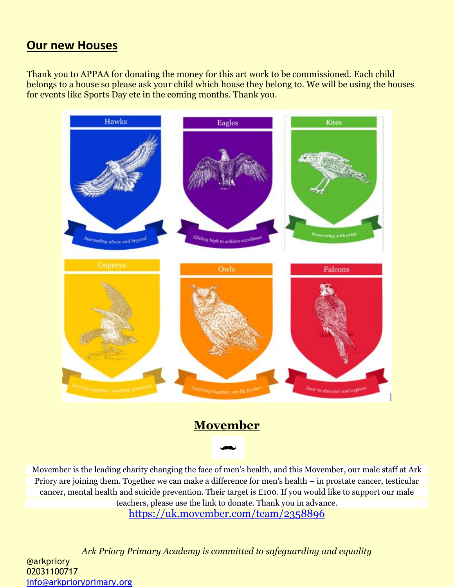### **Our new Houses**

Thank you to APPAA for donating the money for this art work to be commissioned. Each child belongs to a house so please ask your child which house they belong to. We will be using the houses for events like Sports Day etc in the coming months. Thank you.



### **Movember**

Movember is the leading charity changing the face of men's health, and this Movember, our male staff at Ark Priory are joining them. Together we can make a difference for men's health – in prostate cancer, testicular cancer, mental health and suicide prevention. Their target is £100. If you would like to support our male teachers, please use the link to donate. Thank you in advance. <https://uk.movember.com/team/2358896>

*Ark Priory Primary Academy is committed to safeguarding and equality*  @arkpriory 02031100717 [info@arkprioryprimary.org](mailto:info@arkprioryprimary.org)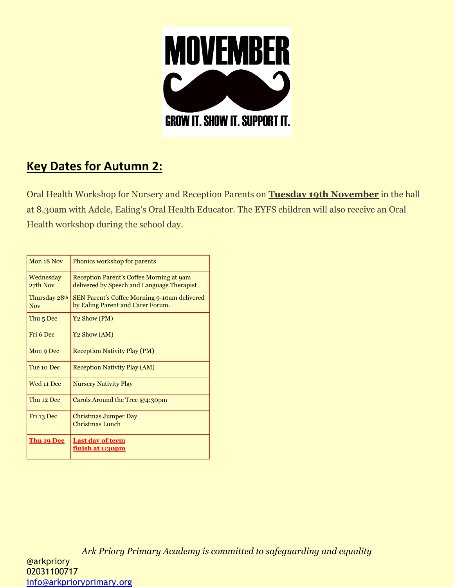

## **Key Dates for Autumn 2:**

Oral Health Workshop for Nursery and Reception Parents on **Tuesday 19th November** in the hall at 8.30am with Adele, Ealing's Oral Health Educator. The EYFS children will also receive an Oral Health workshop during the school day.

| Mon 18 Nov           | Phonics workshop for parents                 |
|----------------------|----------------------------------------------|
|                      |                                              |
| Wednesday            | Reception Parent's Coffee Morning at 9am     |
| 27th Nov             | delivered by Speech and Language Therapist   |
| Thursday 28th        | SEN Parent's Coffee Morning 9-10am delivered |
| <b>Nov</b>           | by Ealing Parent and Carer Forum.            |
| Thu <sub>5</sub> Dec | Y <sub>2</sub> Show (PM)                     |
|                      |                                              |
| Fri 6 Dec            | Y <sub>2</sub> Show (AM)                     |
| Mon 9 Dec            | <b>Reception Nativity Play (PM)</b>          |
|                      |                                              |
| Tue 10 Dec           | <b>Reception Nativity Play (AM)</b>          |
|                      |                                              |
| Wed 11 Dec           | <b>Nursery Nativity Play</b>                 |
| Thu 12 Dec           | Carols Around the Tree $@4$ :30pm            |
|                      |                                              |
| Fri 13 Dec           | Christmas Jumper Day                         |
|                      | Christmas Lunch                              |
| Thu 19 Dec           | <b>Last day of term</b>                      |
|                      | <u>finish at 1:30pm</u>                      |
|                      |                                              |

*Ark Priory Primary Academy is committed to safeguarding and equality*  @arkpriory 02031100717 [info@arkprioryprimary.org](mailto:info@arkprioryprimary.org)